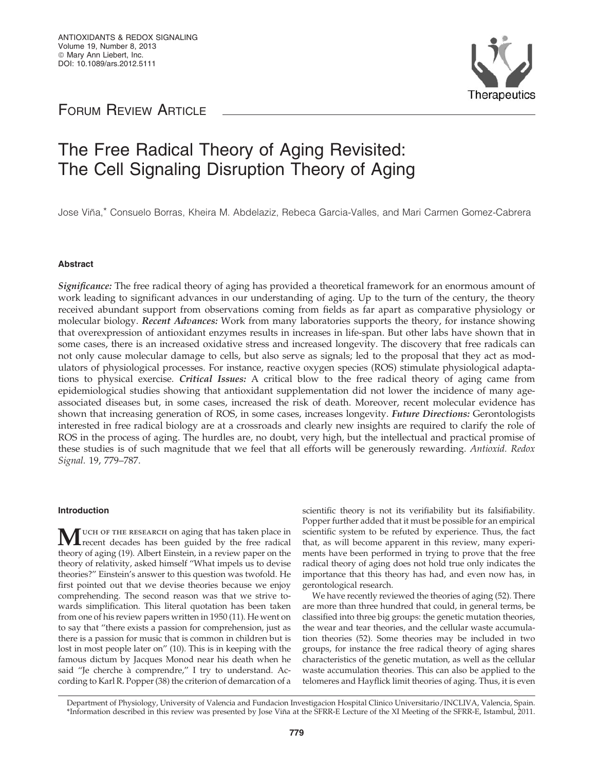

# FORUM REVIEW ARTICLE

# The Free Radical Theory of Aging Revisited: The Cell Signaling Disruption Theory of Aging

Jose Viña,\* Consuelo Borras, Kheira M. Abdelaziz, Rebeca Garcia-Valles, and Mari Carmen Gomez-Cabrera

# Abstract

Significance: The free radical theory of aging has provided a theoretical framework for an enormous amount of work leading to significant advances in our understanding of aging. Up to the turn of the century, the theory received abundant support from observations coming from fields as far apart as comparative physiology or molecular biology. Recent Advances: Work from many laboratories supports the theory, for instance showing that overexpression of antioxidant enzymes results in increases in life-span. But other labs have shown that in some cases, there is an increased oxidative stress and increased longevity. The discovery that free radicals can not only cause molecular damage to cells, but also serve as signals; led to the proposal that they act as modulators of physiological processes. For instance, reactive oxygen species (ROS) stimulate physiological adaptations to physical exercise. Critical Issues: A critical blow to the free radical theory of aging came from epidemiological studies showing that antioxidant supplementation did not lower the incidence of many ageassociated diseases but, in some cases, increased the risk of death. Moreover, recent molecular evidence has shown that increasing generation of ROS, in some cases, increases longevity. Future Directions: Gerontologists interested in free radical biology are at a crossroads and clearly new insights are required to clarify the role of ROS in the process of aging. The hurdles are, no doubt, very high, but the intellectual and practical promise of these studies is of such magnitude that we feel that all efforts will be generously rewarding. Antioxid. Redox Signal. 19, 779–787.

## Introduction

**MUCH OF THE RESEARCH ON aging that has taken place in**<br>recent decades has been guided by the free radical theory of aging (19). Albert Einstein, in a review paper on the theory of relativity, asked himself ''What impels us to devise theories?'' Einstein's answer to this question was twofold. He first pointed out that we devise theories because we enjoy comprehending. The second reason was that we strive towards simplification. This literal quotation has been taken from one of his review papers written in 1950 (11). He went on to say that ''there exists a passion for comprehension, just as there is a passion for music that is common in children but is lost in most people later on'' (10). This is in keeping with the famous dictum by Jacques Monod near his death when he said "Je cherche à comprendre," I try to understand. According to Karl R. Popper (38) the criterion of demarcation of a scientific theory is not its verifiability but its falsifiability. Popper further added that it must be possible for an empirical scientific system to be refuted by experience. Thus, the fact that, as will become apparent in this review, many experiments have been performed in trying to prove that the free radical theory of aging does not hold true only indicates the importance that this theory has had, and even now has, in gerontological research.

We have recently reviewed the theories of aging (52). There are more than three hundred that could, in general terms, be classified into three big groups: the genetic mutation theories, the wear and tear theories, and the cellular waste accumulation theories (52). Some theories may be included in two groups, for instance the free radical theory of aging shares characteristics of the genetic mutation, as well as the cellular waste accumulation theories. This can also be applied to the telomeres and Hayflick limit theories of aging. Thus, it is even

Department of Physiology, University of Valencia and Fundacion Investigacion Hospital Clinico Universitario/INCLIVA, Valencia, Spain. \*Information described in this review was presented by Jose Viña at the SFRR-E Lecture of the XI Meeting of the SFRR-E, Istambul, 2011.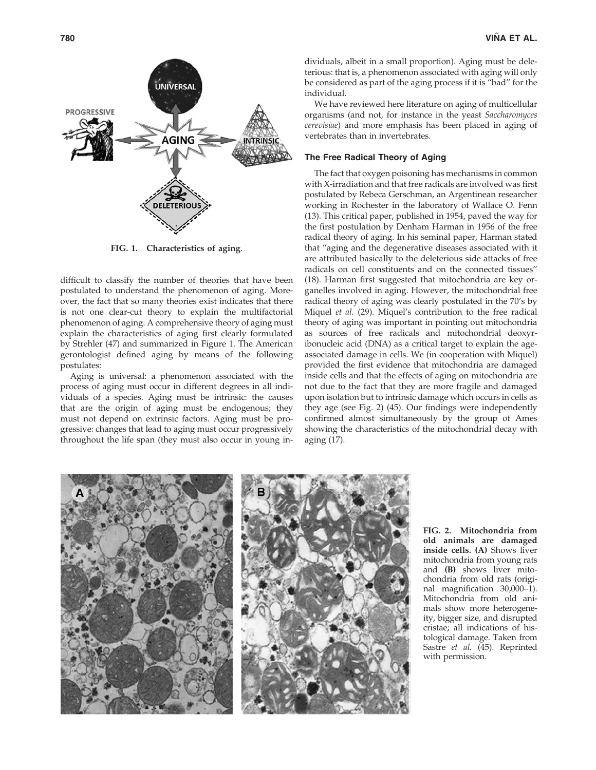

FIG. 1. Characteristics of aging.

difficult to classify the number of theories that have been postulated to understand the phenomenon of aging. Moreover, the fact that so many theories exist indicates that there is not one clear-cut theory to explain the multifactorial phenomenon of aging. A comprehensive theory of aging must explain the characteristics of aging first clearly formulated by Strehler (47) and summarized in Figure 1. The American gerontologist defined aging by means of the following postulates:

Aging is universal: a phenomenon associated with the process of aging must occur in different degrees in all individuals of a species. Aging must be intrinsic: the causes that are the origin of aging must be endogenous; they must not depend on extrinsic factors. Aging must be progressive: changes that lead to aging must occur progressively throughout the life span (they must also occur in young individuals, albeit in a small proportion). Aging must be deleterious: that is, a phenomenon associated with aging will only be considered as part of the aging process if it is ''bad'' for the individual.

We have reviewed here literature on aging of multicellular organisms (and not, for instance in the yeast Saccharomyces cerevisiae) and more emphasis has been placed in aging of vertebrates than in invertebrates.

## The Free Radical Theory of Aging

The fact that oxygen poisoning has mechanisms in common with X-irradiation and that free radicals are involved was first postulated by Rebeca Gerschman, an Argentinean researcher working in Rochester in the laboratory of Wallace O. Fenn (13). This critical paper, published in 1954, paved the way for the first postulation by Denham Harman in 1956 of the free radical theory of aging. In his seminal paper, Harman stated that ''aging and the degenerative diseases associated with it are attributed basically to the deleterious side attacks of free radicals on cell constituents and on the connected tissues'' (18). Harman first suggested that mitochondria are key organelles involved in aging. However, the mitochondrial free radical theory of aging was clearly postulated in the 70's by Miquel et al. (29). Miquel's contribution to the free radical theory of aging was important in pointing out mitochondria as sources of free radicals and mitochondrial deoxyribonucleic acid (DNA) as a critical target to explain the ageassociated damage in cells. We (in cooperation with Miquel) provided the first evidence that mitochondria are damaged inside cells and that the effects of aging on mitochondria are not due to the fact that they are more fragile and damaged upon isolation but to intrinsic damage which occurs in cells as they age (see Fig. 2) (45). Our findings were independently confirmed almost simultaneously by the group of Ames showing the characteristics of the mitochondrial decay with aging (17).



FIG. 2. Mitochondria from old animals are damaged inside cells. (A) Shows liver mitochondria from young rats and (B) shows liver mitochondria from old rats (original magnification 30,000–1). Mitochondria from old animals show more heterogeneity, bigger size, and disrupted cristae; all indications of histological damage. Taken from Sastre et al. (45). Reprinted with permission.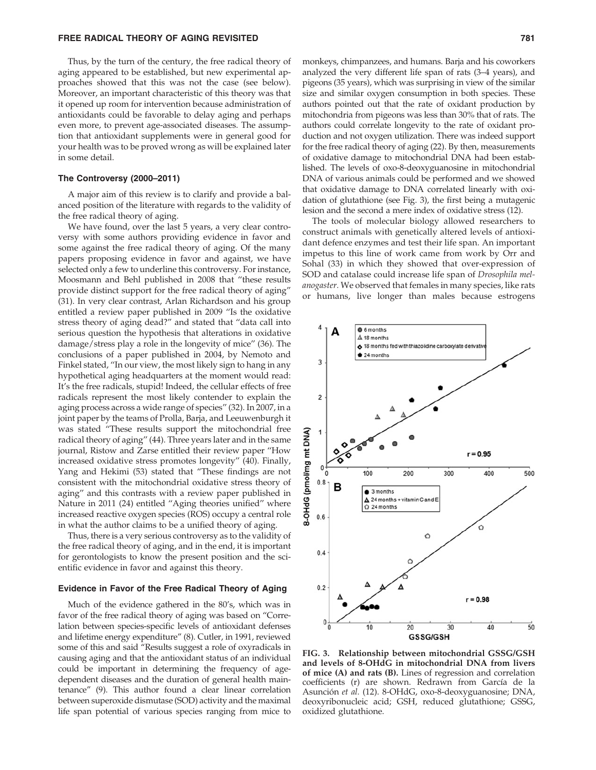Thus, by the turn of the century, the free radical theory of aging appeared to be established, but new experimental approaches showed that this was not the case (see below). Moreover, an important characteristic of this theory was that it opened up room for intervention because administration of antioxidants could be favorable to delay aging and perhaps even more, to prevent age-associated diseases. The assumption that antioxidant supplements were in general good for your health was to be proved wrong as will be explained later in some detail.

#### The Controversy (2000–2011)

A major aim of this review is to clarify and provide a balanced position of the literature with regards to the validity of the free radical theory of aging.

We have found, over the last 5 years, a very clear controversy with some authors providing evidence in favor and some against the free radical theory of aging. Of the many papers proposing evidence in favor and against, we have selected only a few to underline this controversy. For instance, Moosmann and Behl published in 2008 that ''these results provide distinct support for the free radical theory of aging'' (31). In very clear contrast, Arlan Richardson and his group entitled a review paper published in 2009 ''Is the oxidative stress theory of aging dead?'' and stated that ''data call into serious question the hypothesis that alterations in oxidative damage/stress play a role in the longevity of mice'' (36). The conclusions of a paper published in 2004, by Nemoto and Finkel stated, ''In our view, the most likely sign to hang in any hypothetical aging headquarters at the moment would read: It's the free radicals, stupid! Indeed, the cellular effects of free radicals represent the most likely contender to explain the aging process across a wide range of species'' (32). In 2007, in a joint paper by the teams of Prolla, Barja, and Leeuwenburgh it was stated ''These results support the mitochondrial free radical theory of aging'' (44). Three years later and in the same journal, Ristow and Zarse entitled their review paper ''How increased oxidative stress promotes longevity'' (40). Finally, Yang and Hekimi (53) stated that ''These findings are not consistent with the mitochondrial oxidative stress theory of aging'' and this contrasts with a review paper published in Nature in 2011 (24) entitled ''Aging theories unified'' where increased reactive oxygen species (ROS) occupy a central role in what the author claims to be a unified theory of aging.

Thus, there is a very serious controversy as to the validity of the free radical theory of aging, and in the end, it is important for gerontologists to know the present position and the scientific evidence in favor and against this theory.

#### Evidence in Favor of the Free Radical Theory of Aging

Much of the evidence gathered in the 80's, which was in favor of the free radical theory of aging was based on ''Correlation between species-specific levels of antioxidant defenses and lifetime energy expenditure'' (8). Cutler, in 1991, reviewed some of this and said ''Results suggest a role of oxyradicals in causing aging and that the antioxidant status of an individual could be important in determining the frequency of agedependent diseases and the duration of general health maintenance'' (9). This author found a clear linear correlation between superoxide dismutase (SOD) activity and the maximal life span potential of various species ranging from mice to

monkeys, chimpanzees, and humans. Barja and his coworkers analyzed the very different life span of rats (3–4 years), and pigeons (35 years), which was surprising in view of the similar size and similar oxygen consumption in both species. These authors pointed out that the rate of oxidant production by mitochondria from pigeons was less than 30% that of rats. The authors could correlate longevity to the rate of oxidant production and not oxygen utilization. There was indeed support for the free radical theory of aging (22). By then, measurements of oxidative damage to mitochondrial DNA had been established. The levels of oxo-8-deoxyguanosine in mitochondrial DNA of various animals could be performed and we showed that oxidative damage to DNA correlated linearly with oxidation of glutathione (see Fig. 3), the first being a mutagenic lesion and the second a mere index of oxidative stress (12).

The tools of molecular biology allowed researchers to construct animals with genetically altered levels of antioxidant defence enzymes and test their life span. An important impetus to this line of work came from work by Orr and Sohal (33) in which they showed that over-expression of SOD and catalase could increase life span of Drosophila melanogaster. We observed that females in many species, like rats or humans, live longer than males because estrogens



FIG. 3. Relationship between mitochondrial GSSG/GSH and levels of 8-OHdG in mitochondrial DNA from livers of mice (A) and rats (B). Lines of regression and correlation coefficients (r) are shown. Redrawn from García de la Asunción et al. (12). 8-OHdG, oxo-8-deoxyguanosine; DNA, deoxyribonucleic acid; GSH, reduced glutathione; GSSG, oxidized glutathione.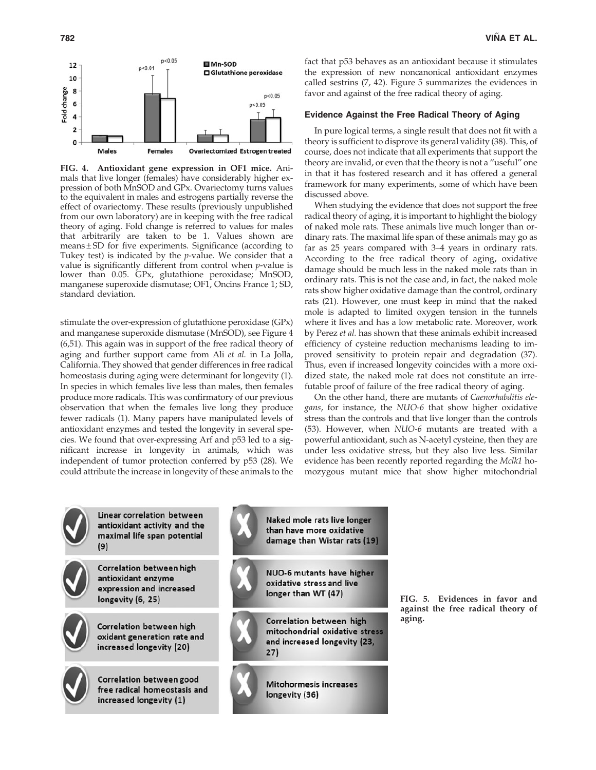

FIG. 4. Antioxidant gene expression in OF1 mice. Animals that live longer (females) have considerably higher expression of both MnSOD and GPx. Ovariectomy turns values to the equivalent in males and estrogens partially reverse the effect of ovariectomy. These results (previously unpublished from our own laboratory) are in keeping with the free radical theory of aging. Fold change is referred to values for males that arbitrarily are taken to be 1. Values shown are means  $\pm$  SD for five experiments. Significance (according to Tukey test) is indicated by the  $p$ -value. We consider that a value is significantly different from control when  $p$ -value is lower than 0.05. GPx, glutathione peroxidase; MnSOD, manganese superoxide dismutase; OF1, Oncins France 1; SD, standard deviation.

stimulate the over-expression of glutathione peroxidase (GPx) and manganese superoxide dismutase (MnSOD), see Figure 4 (6,51). This again was in support of the free radical theory of aging and further support came from Ali et al. in La Jolla, California. They showed that gender differences in free radical homeostasis during aging were determinant for longevity (1). In species in which females live less than males, then females produce more radicals. This was confirmatory of our previous observation that when the females live long they produce fewer radicals (1). Many papers have manipulated levels of antioxidant enzymes and tested the longevity in several species. We found that over-expressing Arf and p53 led to a significant increase in longevity in animals, which was independent of tumor protection conferred by p53 (28). We could attribute the increase in longevity of these animals to the fact that p53 behaves as an antioxidant because it stimulates the expression of new noncanonical antioxidant enzymes called sestrins (7, 42). Figure 5 summarizes the evidences in favor and against of the free radical theory of aging.

#### Evidence Against the Free Radical Theory of Aging

In pure logical terms, a single result that does not fit with a theory is sufficient to disprove its general validity (38). This, of course, does not indicate that all experiments that support the theory are invalid, or even that the theory is not a ''useful'' one in that it has fostered research and it has offered a general framework for many experiments, some of which have been discussed above.

When studying the evidence that does not support the free radical theory of aging, it is important to highlight the biology of naked mole rats. These animals live much longer than ordinary rats. The maximal life span of these animals may go as far as 25 years compared with 3–4 years in ordinary rats. According to the free radical theory of aging, oxidative damage should be much less in the naked mole rats than in ordinary rats. This is not the case and, in fact, the naked mole rats show higher oxidative damage than the control, ordinary rats (21). However, one must keep in mind that the naked mole is adapted to limited oxygen tension in the tunnels where it lives and has a low metabolic rate. Moreover, work by Perez et al. has shown that these animals exhibit increased efficiency of cysteine reduction mechanisms leading to improved sensitivity to protein repair and degradation (37). Thus, even if increased longevity coincides with a more oxidized state, the naked mole rat does not constitute an irrefutable proof of failure of the free radical theory of aging.

On the other hand, there are mutants of Caenorhabditis elegans, for instance, the NUO-6 that show higher oxidative stress than the controls and that live longer than the controls (53). However, when NUO-6 mutants are treated with a powerful antioxidant, such as N-acetyl cysteine, then they are under less oxidative stress, but they also live less. Similar evidence has been recently reported regarding the Mclk1 homozygous mutant mice that show higher mitochondrial



Linear correlation between antioxidant activity and the maximal life span potential  $(9)$ 



**Correlation between high** antioxidant enzyme expression and increased longevity (6, 25)



**Correlation between high** oxidant generation rate and increased longevity (20)



Correlation between good free radical homeostasis and increased longevity (1)



Naked mole rats live longer than have more oxidative damage than Wistar rats (19)



NUO-6 mutants have higher oxidative stress and live longer than WT (47)





FIG. 5. Evidences in favor and against the free radical theory of aging.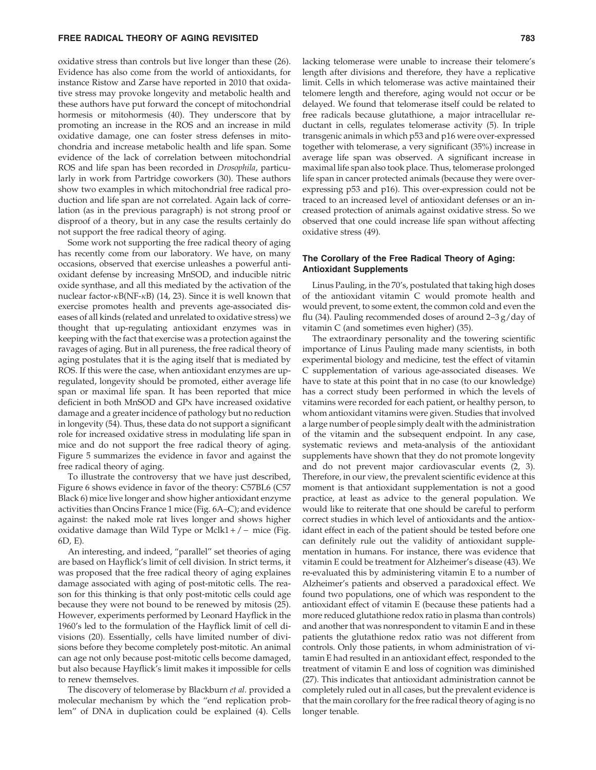# FREE RADICAL THEORY OF AGING REVISITED **The CONSTRUCT OF A SET ASSAULT A** 783

oxidative stress than controls but live longer than these (26). Evidence has also come from the world of antioxidants, for instance Ristow and Zarse have reported in 2010 that oxidative stress may provoke longevity and metabolic health and these authors have put forward the concept of mitochondrial hormesis or mitohormesis (40). They underscore that by promoting an increase in the ROS and an increase in mild oxidative damage, one can foster stress defenses in mitochondria and increase metabolic health and life span. Some evidence of the lack of correlation between mitochondrial ROS and life span has been recorded in Drosophila, particularly in work from Partridge coworkers (30). These authors show two examples in which mitochondrial free radical production and life span are not correlated. Again lack of correlation (as in the previous paragraph) is not strong proof or disproof of a theory, but in any case the results certainly do not support the free radical theory of aging.

Some work not supporting the free radical theory of aging has recently come from our laboratory. We have, on many occasions, observed that exercise unleashes a powerful antioxidant defense by increasing MnSOD, and inducible nitric oxide synthase, and all this mediated by the activation of the nuclear factor- $\kappa$ B(NF- $\kappa$ B) (14, 23). Since it is well known that exercise promotes health and prevents age-associated diseases of all kinds (related and unrelated to oxidative stress) we thought that up-regulating antioxidant enzymes was in keeping with the fact that exercise was a protection against the ravages of aging. But in all pureness, the free radical theory of aging postulates that it is the aging itself that is mediated by ROS. If this were the case, when antioxidant enzymes are upregulated, longevity should be promoted, either average life span or maximal life span. It has been reported that mice deficient in both MnSOD and GPx have increased oxidative damage and a greater incidence of pathology but no reduction in longevity (54). Thus, these data do not support a significant role for increased oxidative stress in modulating life span in mice and do not support the free radical theory of aging. Figure 5 summarizes the evidence in favor and against the free radical theory of aging.

To illustrate the controversy that we have just described, Figure 6 shows evidence in favor of the theory: C57BL6 (C57 Black 6) mice live longer and show higher antioxidant enzyme activities than Oncins France 1 mice (Fig. 6A–C); and evidence against: the naked mole rat lives longer and shows higher oxidative damage than Wild Type or Mclk $1+/-$  mice (Fig. 6D, E).

An interesting, and indeed, ''parallel'' set theories of aging are based on Hayflick's limit of cell division. In strict terms, it was proposed that the free radical theory of aging explaines damage associated with aging of post-mitotic cells. The reason for this thinking is that only post-mitotic cells could age because they were not bound to be renewed by mitosis (25). However, experiments performed by Leonard Hayflick in the 1960's led to the formulation of the Hayflick limit of cell divisions (20). Essentially, cells have limited number of divisions before they become completely post-mitotic. An animal can age not only because post-mitotic cells become damaged, but also because Hayflick's limit makes it impossible for cells to renew themselves.

The discovery of telomerase by Blackburn et al. provided a molecular mechanism by which the ''end replication problem'' of DNA in duplication could be explained (4). Cells lacking telomerase were unable to increase their telomere's length after divisions and therefore, they have a replicative limit. Cells in which telomerase was active maintained their telomere length and therefore, aging would not occur or be delayed. We found that telomerase itself could be related to free radicals because glutathione, a major intracellular reductant in cells, regulates telomerase activity (5). In triple transgenic animals in which p53 and p16 were over-expressed together with telomerase, a very significant (35%) increase in average life span was observed. A significant increase in maximal life span also took place. Thus, telomerase prolonged life span in cancer protected animals (because they were overexpressing p53 and p16). This over-expression could not be traced to an increased level of antioxidant defenses or an increased protection of animals against oxidative stress. So we observed that one could increase life span without affecting oxidative stress (49).

#### The Corollary of the Free Radical Theory of Aging: Antioxidant Supplements

Linus Pauling, in the 70's, postulated that taking high doses of the antioxidant vitamin C would promote health and would prevent, to some extent, the common cold and even the flu (34). Pauling recommended doses of around 2–3 g/day of vitamin C (and sometimes even higher) (35).

The extraordinary personality and the towering scientific importance of Linus Pauling made many scientists, in both experimental biology and medicine, test the effect of vitamin C supplementation of various age-associated diseases. We have to state at this point that in no case (to our knowledge) has a correct study been performed in which the levels of vitamins were recorded for each patient, or healthy person, to whom antioxidant vitamins were given. Studies that involved a large number of people simply dealt with the administration of the vitamin and the subsequent endpoint. In any case, systematic reviews and meta-analysis of the antioxidant supplements have shown that they do not promote longevity and do not prevent major cardiovascular events (2, 3). Therefore, in our view, the prevalent scientific evidence at this moment is that antioxidant supplementation is not a good practice, at least as advice to the general population. We would like to reiterate that one should be careful to perform correct studies in which level of antioxidants and the antioxidant effect in each of the patient should be tested before one can definitely rule out the validity of antioxidant supplementation in humans. For instance, there was evidence that vitamin E could be treatment for Alzheimer's disease (43). We re-evaluated this by administering vitamin E to a number of Alzheimer's patients and observed a paradoxical effect. We found two populations, one of which was respondent to the antioxidant effect of vitamin E (because these patients had a more reduced glutathione redox ratio in plasma than controls) and another that was nonrespondent to vitamin E and in these patients the glutathione redox ratio was not different from controls. Only those patients, in whom administration of vitamin E had resulted in an antioxidant effect, responded to the treatment of vitamin E and loss of cognition was diminished (27). This indicates that antioxidant administration cannot be completely ruled out in all cases, but the prevalent evidence is that the main corollary for the free radical theory of aging is no longer tenable.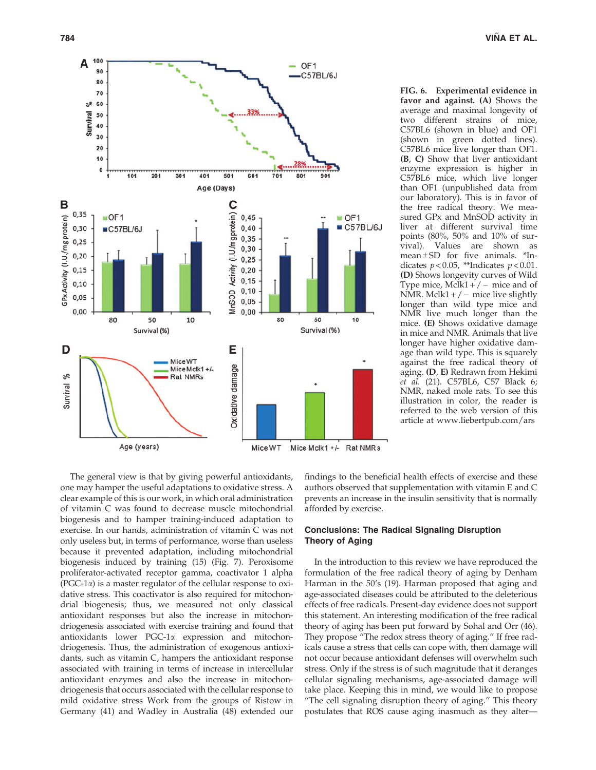

FIG. 6. Experimental evidence in favor and against. (A) Shows the average and maximal longevity of two different strains of mice, C57BL6 (shown in blue) and OF1 (shown in green dotted lines). C57BL6 mice live longer than OF1. (B, C) Show that liver antioxidant enzyme expression is higher in C57BL6 mice, which live longer than OF1 (unpublished data from our laboratory). This is in favor of the free radical theory. We measured GPx and MnSOD activity in liver at different survival time points (80%, 50% and 10% of survival). Values are shown as mean $\pm$ SD for five animals. \*Indicates  $p < 0.05$ , \*\*Indicates  $p < 0.01$ . (D) Shows longevity curves of Wild Type mice,  $Mclk1+/-$  mice and of NMR. Mclk $1+/-$  mice live slightly longer than wild type mice and NMR live much longer than the mice. (E) Shows oxidative damage in mice and NMR. Animals that live longer have higher oxidative damage than wild type. This is squarely against the free radical theory of aging. (D, E) Redrawn from Hekimi et al. (21). C57BL6, C57 Black 6; NMR, naked mole rats. To see this illustration in color, the reader is referred to the web version of this article at www.liebertpub.com/ars

The general view is that by giving powerful antioxidants, one may hamper the useful adaptations to oxidative stress. A clear example of this is our work, in which oral administration of vitamin C was found to decrease muscle mitochondrial biogenesis and to hamper training-induced adaptation to exercise. In our hands, administration of vitamin C was not only useless but, in terms of performance, worse than useless because it prevented adaptation, including mitochondrial biogenesis induced by training (15) (Fig. 7). Peroxisome proliferator-activated receptor gamma, coactivator 1 alpha  $(PGC-1\alpha)$  is a master regulator of the cellular response to oxidative stress. This coactivator is also required for mitochondrial biogenesis; thus, we measured not only classical antioxidant responses but also the increase in mitochondriogenesis associated with exercise training and found that antioxidants lower PGC-1a expression and mitochondriogenesis. Thus, the administration of exogenous antioxidants, such as vitamin C, hampers the antioxidant response associated with training in terms of increase in intercellular antioxidant enzymes and also the increase in mitochondriogenesis that occurs associated with the cellular response to mild oxidative stress Work from the groups of Ristow in Germany (41) and Wadley in Australia (48) extended our findings to the beneficial health effects of exercise and these authors observed that supplementation with vitamin E and C prevents an increase in the insulin sensitivity that is normally afforded by exercise.

# Conclusions: The Radical Signaling Disruption Theory of Aging

In the introduction to this review we have reproduced the formulation of the free radical theory of aging by Denham Harman in the 50's (19). Harman proposed that aging and age-associated diseases could be attributed to the deleterious effects of free radicals. Present-day evidence does not support this statement. An interesting modification of the free radical theory of aging has been put forward by Sohal and Orr (46). They propose "The redox stress theory of aging." If free radicals cause a stress that cells can cope with, then damage will not occur because antioxidant defenses will overwhelm such stress. Only if the stress is of such magnitude that it deranges cellular signaling mechanisms, age-associated damage will take place. Keeping this in mind, we would like to propose ''The cell signaling disruption theory of aging.'' This theory postulates that ROS cause aging inasmuch as they alter—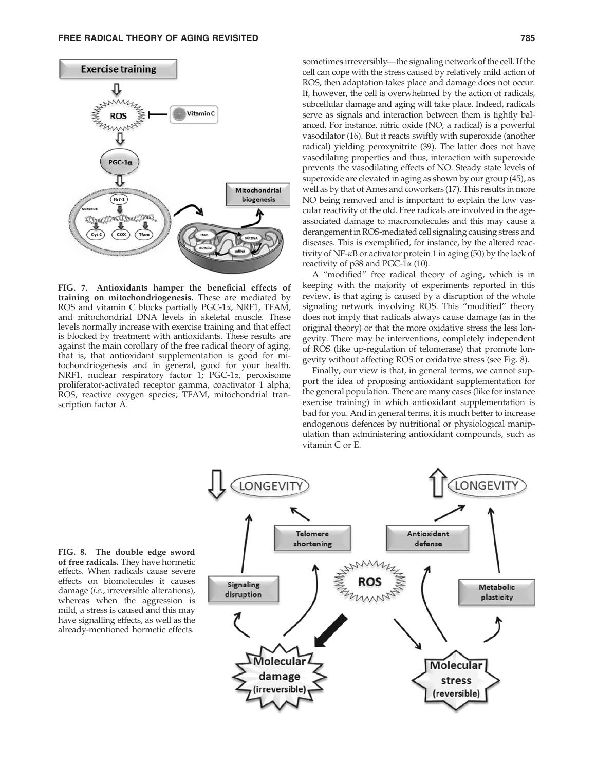

FIG. 7. Antioxidants hamper the beneficial effects of training on mitochondriogenesis. These are mediated by ROS and vitamin C blocks partially PGC-1a, NRF1, TFAM, and mitochondrial DNA levels in skeletal muscle. These levels normally increase with exercise training and that effect is blocked by treatment with antioxidants. These results are against the main corollary of the free radical theory of aging, that is, that antioxidant supplementation is good for mitochondriogenesis and in general, good for your health. NRF1, nuclear respiratory factor 1; PGC-1a, peroxisome proliferator-activated receptor gamma, coactivator 1 alpha; ROS, reactive oxygen species; TFAM, mitochondrial transcription factor A.

sometimes irreversibly—the signaling network of the cell. If the cell can cope with the stress caused by relatively mild action of ROS, then adaptation takes place and damage does not occur. If, however, the cell is overwhelmed by the action of radicals, subcellular damage and aging will take place. Indeed, radicals serve as signals and interaction between them is tightly balanced. For instance, nitric oxide (NO, a radical) is a powerful vasodilator (16). But it reacts swiftly with superoxide (another radical) yielding peroxynitrite (39). The latter does not have vasodilating properties and thus, interaction with superoxide prevents the vasodilating effects of NO. Steady state levels of superoxide are elevated in aging as shown by our group (45), as well as by that of Ames and coworkers (17). This results in more NO being removed and is important to explain the low vascular reactivity of the old. Free radicals are involved in the ageassociated damage to macromolecules and this may cause a derangement in ROS-mediated cell signaling causing stress and diseases. This is exemplified, for instance, by the altered reactivity of NF- $\kappa$ B or activator protein 1 in aging (50) by the lack of reactivity of  $p38$  and PGC-1 $\alpha$  (10).

A ''modified'' free radical theory of aging, which is in keeping with the majority of experiments reported in this review, is that aging is caused by a disruption of the whole signaling network involving ROS. This "modified" theory does not imply that radicals always cause damage (as in the original theory) or that the more oxidative stress the less longevity. There may be interventions, completely independent of ROS (like up-regulation of telomerase) that promote longevity without affecting ROS or oxidative stress (see Fig. 8).

Finally, our view is that, in general terms, we cannot support the idea of proposing antioxidant supplementation for the general population. There are many cases (like for instance exercise training) in which antioxidant supplementation is bad for you. And in general terms, it is much better to increase endogenous defences by nutritional or physiological manipulation than administering antioxidant compounds, such as vitamin C or E.

FIG. 8. The double edge sword of free radicals. They have hormetic effects. When radicals cause severe effects on biomolecules it causes damage (i.e., irreversible alterations), whereas when the aggression is mild, a stress is caused and this may have signalling effects, as well as the already-mentioned hormetic effects.

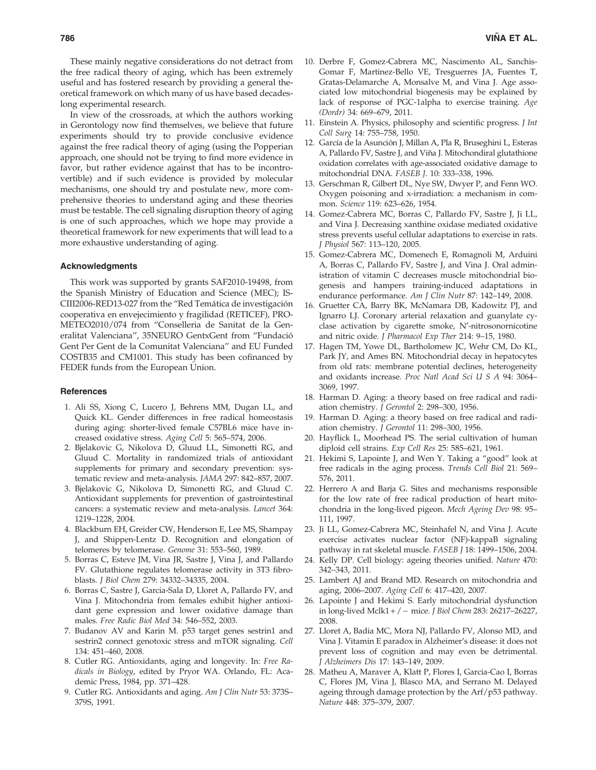These mainly negative considerations do not detract from the free radical theory of aging, which has been extremely useful and has fostered research by providing a general theoretical framework on which many of us have based decadeslong experimental research.

In view of the crossroads, at which the authors working in Gerontology now find themselves, we believe that future experiments should try to provide conclusive evidence against the free radical theory of aging (using the Popperian approach, one should not be trying to find more evidence in favor, but rather evidence against that has to be incontrovertible) and if such evidence is provided by molecular mechanisms, one should try and postulate new, more comprehensive theories to understand aging and these theories must be testable. The cell signaling disruption theory of aging is one of such approaches, which we hope may provide a theoretical framework for new experiments that will lead to a more exhaustive understanding of aging.

#### Acknowledgments

This work was supported by grants SAF2010-19498, from the Spanish Ministry of Education and Science (MEC); IS-CIII2006-RED13-027 from the "Red Temática de investigación cooperativa en envejecimiento y fragilidad (RETICEF), PRO-METEO2010/074 from ''Conselleria de Sanitat de la Generalitat Valenciana'', 35NEURO GentxGent from ''Fundacio´ Gent Per Gent de la Comunitat Valenciana'' and EU Funded COSTB35 and CM1001. This study has been cofinanced by FEDER funds from the European Union.

#### References

- 1. Ali SS, Xiong C, Lucero J, Behrens MM, Dugan LL, and Quick KL. Gender differences in free radical homeostasis during aging: shorter-lived female C57BL6 mice have increased oxidative stress. Aging Cell 5: 565–574, 2006.
- 2. Bjelakovic G, Nikolova D, Gluud LL, Simonetti RG, and Gluud C. Mortality in randomized trials of antioxidant supplements for primary and secondary prevention: systematic review and meta-analysis. JAMA 297: 842–857, 2007.
- 3. Bjelakovic G, Nikolova D, Simonetti RG, and Gluud C. Antioxidant supplements for prevention of gastrointestinal cancers: a systematic review and meta-analysis. Lancet 364: 1219–1228, 2004.
- 4. Blackburn EH, Greider CW, Henderson E, Lee MS, Shampay J, and Shippen-Lentz D. Recognition and elongation of telomeres by telomerase. Genome 31: 553–560, 1989.
- 5. Borras C, Esteve JM, Vina JR, Sastre J, Vina J, and Pallardo FV. Glutathione regulates telomerase activity in 3T3 fibroblasts. J Biol Chem 279: 34332–34335, 2004.
- 6. Borras C, Sastre J, Garcia-Sala D, Lloret A, Pallardo FV, and Vina J. Mitochondria from females exhibit higher antioxidant gene expression and lower oxidative damage than males. Free Radic Biol Med 34: 546–552, 2003.
- 7. Budanov AV and Karin M. p53 target genes sestrin1 and sestrin2 connect genotoxic stress and mTOR signaling. Cell 134: 451–460, 2008.
- 8. Cutler RG. Antioxidants, aging and longevity. In: Free Radicals in Biology, edited by Pryor WA. Orlando, FL: Academic Press, 1984, pp. 371–428.
- 9. Cutler RG. Antioxidants and aging. Am J Clin Nutr 53: 373S– 379S, 1991.
- 10. Derbre F, Gomez-Cabrera MC, Nascimento AL, Sanchis-Gomar F, Martinez-Bello VE, Tresguerres JA, Fuentes T, Gratas-Delamarche A, Monsalve M, and Vina J. Age associated low mitochondrial biogenesis may be explained by lack of response of PGC-1alpha to exercise training. Age (Dordr) 34: 669–679, 2011.
- 11. Einstein A. Physics, philosophy and scientific progress. J Int Coll Surg 14: 755–758, 1950.
- 12. García de la Asunción J, Millan A, Pla R, Bruseghini L, Esteras A, Pallardo FV, Sastre J, and Viña J. Mitochondiral glutathione oxidation correlates with age-associated oxidative damage to mitochondrial DNA. FASEB J. 10: 333–338, 1996.
- 13. Gerschman R, Gilbert DL, Nye SW, Dwyer P, and Fenn WO. Oxygen poisoning and x-irradiation: a mechanism in common. Science 119: 623–626, 1954.
- 14. Gomez-Cabrera MC, Borras C, Pallardo FV, Sastre J, Ji LL, and Vina J. Decreasing xanthine oxidase mediated oxidative stress prevents useful cellular adaptations to exercise in rats. J Physiol 567: 113–120, 2005.
- 15. Gomez-Cabrera MC, Domenech E, Romagnoli M, Arduini A, Borras C, Pallardo FV, Sastre J, and Vina J. Oral administration of vitamin C decreases muscle mitochondrial biogenesis and hampers training-induced adaptations in endurance performance. Am J Clin Nutr 87: 142–149, 2008.
- 16. Gruetter CA, Barry BK, McNamara DB, Kadowitz PJ, and Ignarro LJ. Coronary arterial relaxation and guanylate cyclase activation by cigarette smoke, N'-nitrosonornicotine and nitric oxide. J Pharmacol Exp Ther 214: 9–15, 1980.
- 17. Hagen TM, Yowe DL, Bartholomew JC, Wehr CM, Do KL, Park JY, and Ames BN. Mitochondrial decay in hepatocytes from old rats: membrane potential declines, heterogeneity and oxidants increase. Proc Natl Acad Sci U S A 94: 3064– 3069, 1997.
- 18. Harman D. Aging: a theory based on free radical and radiation chemistry. J Gerontol 2: 298–300, 1956.
- 19. Harman D. Aging: a theory based on free radical and radiation chemistry. J Gerontol 11: 298–300, 1956.
- 20. Hayflick L, Moorhead PS. The serial cultivation of human diploid cell strains. Exp Cell Res 25: 585–621, 1961.
- 21. Hekimi S, Lapointe J, and Wen Y. Taking a ''good'' look at free radicals in the aging process. Trends Cell Biol 21: 569– 576, 2011.
- 22. Herrero A and Barja G. Sites and mechanisms responsible for the low rate of free radical production of heart mitochondria in the long-lived pigeon. Mech Ageing Dev 98: 95– 111, 1997.
- 23. Ji LL, Gomez-Cabrera MC, Steinhafel N, and Vina J. Acute exercise activates nuclear factor (NF)-kappaB signaling pathway in rat skeletal muscle. FASEB J 18: 1499–1506, 2004.
- 24. Kelly DP. Cell biology: ageing theories unified. Nature 470: 342–343, 2011.
- 25. Lambert AJ and Brand MD. Research on mitochondria and aging, 2006–2007. Aging Cell 6: 417–420, 2007.
- 26. Lapointe J and Hekimi S. Early mitochondrial dysfunction in long-lived Mclk1 +  $/$  - mice. J Biol Chem 283: 26217-26227, 2008.
- 27. Lloret A, Badia MC, Mora NJ, Pallardo FV, Alonso MD, and Vina J. Vitamin E paradox in Alzheimer's disease: it does not prevent loss of cognition and may even be detrimental. J Alzheimers Dis 17: 143–149, 2009.
- 28. Matheu A, Maraver A, Klatt P, Flores I, Garcia-Cao I, Borras C, Flores JM, Vina J, Blasco MA, and Serrano M. Delayed ageing through damage protection by the Arf/p53 pathway. Nature 448: 375–379, 2007.